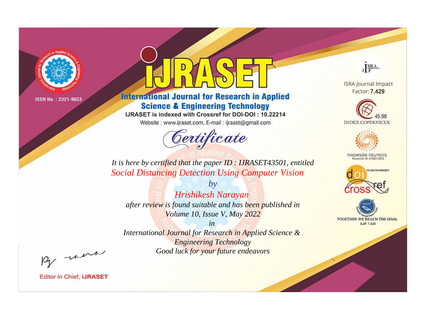

# **International Journal for Research in Applied Science & Engineering Technology**

IJRASET is indexed with Crossref for DOI-DOI: 10.22214

Website: www.ijraset.com, E-mail: ijraset@gmail.com



JERA

**ISRA Journal Impact** Factor: 7.429





**THOMSON REUTERS** 



TOGETHER WE REACH THE GOAL **SJIF 7.429** 

It is here by certified that the paper ID: IJRASET43501, entitled **Social Distancing Detection Using Computer Vision** 

Hrishikesh Narayan after review is found suitable and has been published in Volume 10, Issue V, May 2022

 $b\nu$ 

 $in$ International Journal for Research in Applied Science & **Engineering Technology** Good luck for your future endeavors

By morn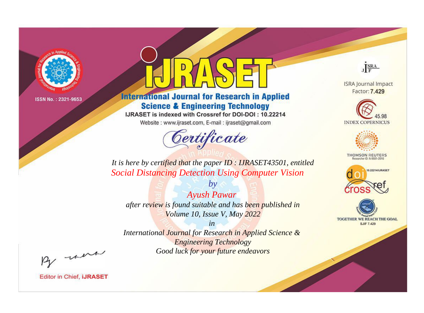

# **International Journal for Research in Applied Science & Engineering Technology**

IJRASET is indexed with Crossref for DOI-DOI: 10.22214

Website: www.ijraset.com, E-mail: ijraset@gmail.com



JERA

**ISRA Journal Impact** Factor: 7.429





**THOMSON REUTERS** 



TOGETHER WE REACH THE GOAL **SJIF 7.429** 

*It is here by certified that the paper ID : IJRASET43501, entitled Social Distancing Detection Using Computer Vision*

*Ayush Pawar after review is found suitable and has been published in Volume 10, Issue V, May 2022*

*by*

*in* 

*International Journal for Research in Applied Science & Engineering Technology Good luck for your future endeavors*

By morn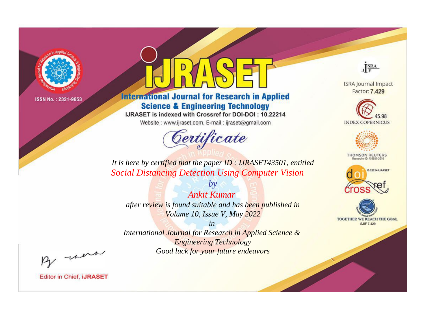

# **International Journal for Research in Applied Science & Engineering Technology**

IJRASET is indexed with Crossref for DOI-DOI: 10.22214

Website: www.ijraset.com, E-mail: ijraset@gmail.com



JERA

**ISRA Journal Impact** Factor: 7.429





**THOMSON REUTERS** 



TOGETHER WE REACH THE GOAL **SJIF 7.429** 

*It is here by certified that the paper ID : IJRASET43501, entitled Social Distancing Detection Using Computer Vision*

*by Ankit Kumar after review is found suitable and has been published in Volume 10, Issue V, May 2022*

*in* 

*International Journal for Research in Applied Science & Engineering Technology Good luck for your future endeavors*

By morn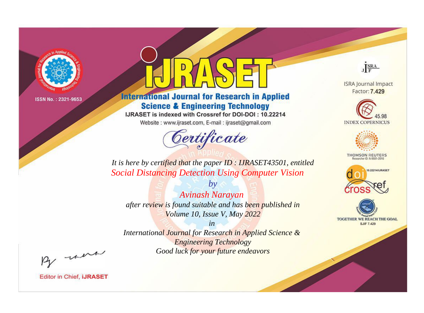

# **International Journal for Research in Applied Science & Engineering Technology**

IJRASET is indexed with Crossref for DOI-DOI: 10.22214

Website: www.ijraset.com, E-mail: ijraset@gmail.com



JERA

**ISRA Journal Impact** Factor: 7.429





**THOMSON REUTERS** 



TOGETHER WE REACH THE GOAL **SJIF 7.429** 

*It is here by certified that the paper ID : IJRASET43501, entitled Social Distancing Detection Using Computer Vision*

*Avinash Narayan after review is found suitable and has been published in Volume 10, Issue V, May 2022*

*by*

*in* 

*International Journal for Research in Applied Science & Engineering Technology Good luck for your future endeavors*

By morn